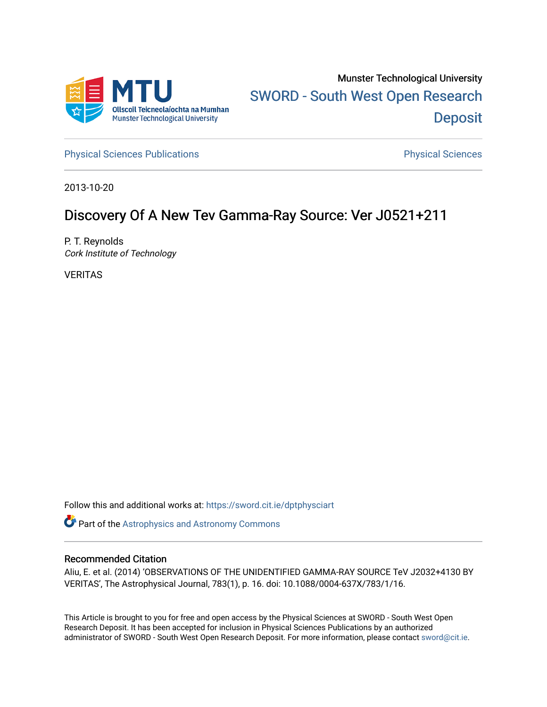

[Physical Sciences Publications](https://sword.cit.ie/dptphysciart) **Physical Sciences** Physical Sciences

2013-10-20

# Discovery Of A New Tev Gamma-Ray Source: Ver J0521+211

P. T. Reynolds Cork Institute of Technology

VERITAS

Follow this and additional works at: [https://sword.cit.ie/dptphysciart](https://sword.cit.ie/dptphysciart?utm_source=sword.cit.ie%2Fdptphysciart%2F76&utm_medium=PDF&utm_campaign=PDFCoverPages)

Part of the [Astrophysics and Astronomy Commons](http://network.bepress.com/hgg/discipline/123?utm_source=sword.cit.ie%2Fdptphysciart%2F76&utm_medium=PDF&utm_campaign=PDFCoverPages) 

## Recommended Citation

Aliu, E. et al. (2014) 'OBSERVATIONS OF THE UNIDENTIFIED GAMMA-RAY SOURCE TeV J2032+4130 BY VERITAS', The Astrophysical Journal, 783(1), p. 16. doi: 10.1088/0004-637X/783/1/16.

This Article is brought to you for free and open access by the Physical Sciences at SWORD - South West Open Research Deposit. It has been accepted for inclusion in Physical Sciences Publications by an authorized administrator of SWORD - South West Open Research Deposit. For more information, please contact [sword@cit.ie.](mailto:sword@cit.ie)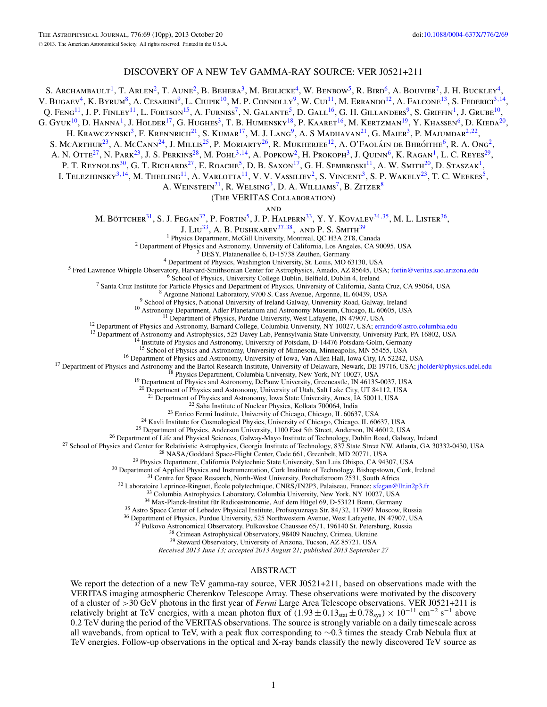### DISCOVERY OF A NEW TeV GAMMA-RAY SOURCE: VER J0521+211

S. ARCHAMBAULT<sup>1</sup>, T. ARLEN<sup>2</sup>, T. AUNE<sup>2</sup>, B. BEHERA<sup>3</sup>, M. BEILICKE<sup>4</sup>, W. BENBOW<sup>5</sup>, R. BIRD<sup>6</sup>, A. BOUVIER<sup>7</sup>, J. H. BUCKLEY<sup>4</sup>, V. Bugaev<sup>4</sup>, K. Byrum<sup>8</sup>, A. Cesarini<sup>9</sup>, L. Ciupik<sup>10</sup>, M. P. Connolly<sup>9</sup>, W. Cui<sup>11</sup>, M. Errando<sup>12</sup>, A. Falcone<sup>13</sup>, S. Federici<sup>3,14</sup>, Q. Feng<sup>11</sup>, J. P. Finley<sup>11</sup>, L. Fortson<sup>15</sup>, A. Furniss<sup>7</sup>, N. Galante<sup>5</sup>, D. Gall<sup>16</sup>, G. H. Gillanders<sup>9</sup>, S. Griffin<sup>1</sup>, J. Grube<sup>10</sup>, G. Gyuk $^{10}$ , D. Hanna $^1$ , J. Holder $^{17}$ , G. Hughes $^3$ , T. B. Humensky $^{18}$ , P. Kaaret $^{16}$ , M. Kertzman $^{19}$ , Y. Khassen $^6$ , D. Kieda $^{20}$ , H. KRAWCZYNSKI<sup>3</sup>, F. KRENNRICH<sup>21</sup>, S. KUMAR<sup>17</sup>, M. J. LANG<sup>9</sup>, A. S MADHAVAN<sup>21</sup>, G. MAIER<sup>3</sup>, P. MAJUMDAR<sup>2,22</sup>, S. McArthur<sup>23</sup>, A. McCann<sup>24</sup>, J. Millis<sup>25</sup>, P. Moriarty<sup>26</sup>, R. Mukherjee<sup>12</sup>, A. O'Faoláin de Bhróithe<sup>6</sup>, R. A. Ong<sup>2</sup>, A. N. Otte<sup>27</sup>, N. Park<sup>23</sup>, J. S. Perkins<sup>28</sup>, M. Pohl<sup>3,14</sup>, A. Popkow<sup>2</sup>, H. Prokoph<sup>3</sup>, J. Quinn<sup>6</sup>, K. Ragan<sup>1</sup>, L. C. Reyes<sup>29</sup>, P. T. REYNOLDS<sup>30</sup>, G. T. RICHARDS<sup>27</sup>, E. ROACHE<sup>5</sup>, D. B. SAXON<sup>17</sup>, G. H. SEMBROSKI<sup>11</sup>, A. W. SMITH<sup>20</sup>, D. STASZAK<sup>1</sup>, I. Telezhinsky<sup>3,14</sup>, M. Theiling<sup>11</sup>, A. Varlotta<sup>11</sup>, V. V. Vassiliev<sup>2</sup>, S. Vincent<sup>3</sup>, S. P. Wakely<sup>23</sup>, T. C. Weekes<sup>5</sup>, A. WEINSTEIN<sup>21</sup>, R. WELSING<sup>3</sup>, D. A. WILLIAMS<sup>7</sup>, B. ZITZER<sup>8</sup> (The VERITAS Collaboration) **AND** M. BÖTTCHER<sup>31</sup>, S. J. Fegan<sup>32</sup>, P. Fortin<sup>5</sup>, J. P. Halpern<sup>33</sup>, Y. Y. Kovalev<sup>34,35</sup>, M. L. Lister<sup>36</sup>, J. LIU<sup>33</sup>, A. B. PUSHKAREV<sup>37,38</sup>, AND P. S. SMITH<sup>39</sup><br><sup>1</sup> Physics Department, McGill University, Montreal, QC H3A 2T8, Canada <sup>1</sup> Physics Department, McGill University, Montreal, QC H3A 2T8, Canada<br>
<sup>2</sup> Department of Physics and Astronomy, University of California, Los Angeles, CA 90095, USA<br>
<sup>3</sup> DESY, Platanenallee 6, D-15738 Zeuthen, Germany<br> <sup>15</sup> School of Physics and Astronomy, University of Minnesota, Minneapolis, MN 55455, USA<br><sup>16</sup> Department of Physics and Astronomy, University of Iowa, Van Allen Hall, Iowa City, IA 52242, USA<br><sup>17</sup> Department of Physics an <sup>20</sup> Department of Physics and Astronomy, University of Utah, Salt Lake City, UT 84112, USA <sup>21</sup> Department of Physics and Astronomy, Iowa State University, Ames, IA 50011, USA <sup>22</sup> Saha Institute of Nuclear Physics, Kolkata 700064, India<br><sup>22</sup> Enrico Fermi Institute, University of Chicago, Chicago, IL 60637, USA<br><sup>24</sup> Kavli Institute For Cosmological Physics, University of Chicago, Chicago, IL 60 Pulkovo Astronomical Observatory, Pulkovskoe Chaussee 65/1, 196140 St. Petersburg, Russia 38 Crimean Astrophysical Observatory, 98409 Nauchny, Crimea, Ukraine<br><sup>39</sup> Steward Observatory, University of Arizona, Tucson, AZ 857 *Received 2013 June 13; accepted 2013 August 21; published 2013 September 27*

#### ABSTRACT

We report the detection of a new TeV gamma-ray source, VER J0521+211, based on observations made with the VERITAS imaging atmospheric Cherenkov Telescope Array. These observations were motivated by the discovery of a cluster of *>*30 GeV photons in the first year of *Fermi* Large Area Telescope observations. VER J0521+211 is relatively bright at TeV energies, with a mean photon flux of  $(1.93 \pm 0.13<sub>stat</sub> \pm 0.78<sub>sys</sub>) \times 10<sup>-11</sup>$  cm<sup>-2</sup> s<sup>-1</sup> above 0*.*2 TeV during the period of the VERITAS observations. The source is strongly variable on a daily timescale across all wavebands, from optical to TeV, with a peak flux corresponding to ∼0*.*3 times the steady Crab Nebula flux at TeV energies. Follow-up observations in the optical and X-ray bands classify the newly discovered TeV source as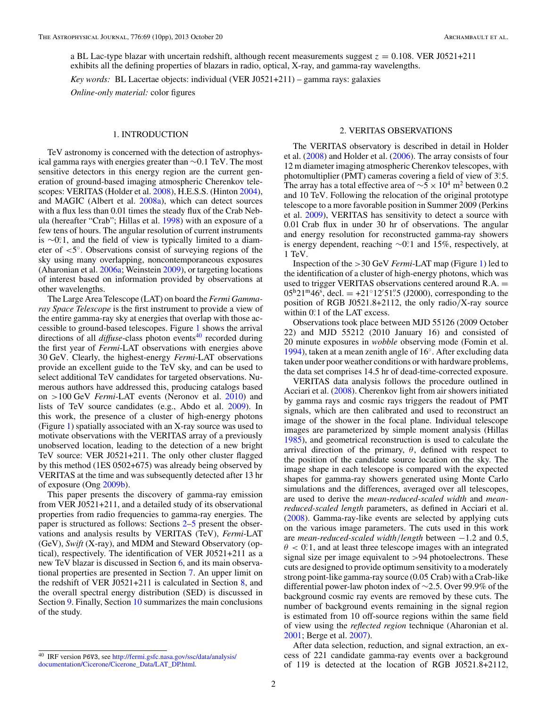a BL Lac-type blazar with uncertain redshift, although recent measurements suggest  $z = 0.108$ . VER J0521+211 exhibits all the defining properties of blazars in radio, optical, X-ray, and gamma-ray wavelengths.

*Key words:* BL Lacertae objects: individual (VER J0521+211) – gamma rays: galaxies

*Online-only material:* color figures

#### 1. INTRODUCTION

TeV astronomy is concerned with the detection of astrophysical gamma rays with energies greater than ∼0*.*1 TeV. The most sensitive detectors in this energy region are the current generation of ground-based imaging atmospheric Cherenkov telescopes: VERITAS (Holder et al. [2008\)](#page-10-0), H.E.S.S. (Hinton [2004\)](#page-10-0), and MAGIC (Albert et al. [2008a\)](#page-10-0), which can detect sources with a flux less than 0.01 times the steady flux of the Crab Nebula (hereafter "Crab"; Hillas et al. [1998\)](#page-10-0) with an exposure of a few tens of hours. The angular resolution of current instruments is ∼0*.* ◦1, and the field of view is typically limited to a diameter of *<*5◦. Observations consist of surveying regions of the sky using many overlapping, noncontemporaneous exposures (Aharonian et al. [2006a;](#page-10-0) Weinstein [2009\)](#page-10-0), or targeting locations of interest based on information provided by observations at other wavelengths.

The Large Area Telescope (LAT) on board the *Fermi Gammaray Space Telescope* is the first instrument to provide a view of the entire gamma-ray sky at energies that overlap with those accessible to ground-based telescopes. Figure [1](#page-3-0) shows the arrival directions of all *diffuse*-class photon events<sup>40</sup> recorded during the first year of *Fermi*-LAT observations with energies above 30 GeV. Clearly, the highest-energy *Fermi*-LAT observations provide an excellent guide to the TeV sky, and can be used to select additional TeV candidates for targeted observations. Numerous authors have addressed this, producing catalogs based on *>*100 GeV *Fermi*-LAT events (Neronov et al. [2010\)](#page-10-0) and lists of TeV source candidates (e.g., Abdo et al. [2009\)](#page-9-0). In this work, the presence of a cluster of high-energy photons (Figure [1\)](#page-3-0) spatially associated with an X-ray source was used to motivate observations with the VERITAS array of a previously unobserved location, leading to the detection of a new bright TeV source: VER J0521+211. The only other cluster flagged by this method (1ES 0502+675) was already being observed by VERITAS at the time and was subsequently detected after 13 hr of exposure (Ong [2009b\)](#page-10-0).

This paper presents the discovery of gamma-ray emission from VER J0521+211, and a detailed study of its observational properties from radio frequencies to gamma-ray energies. The paper is structured as follows: Sections 2[–5](#page-5-0) present the observations and analysis results by VERITAS (TeV), *Fermi*-LAT (GeV), *Swift* (X-ray), and MDM and Steward Observatory (optical), respectively. The identification of VER J0521+211 as a new TeV blazar is discussed in Section [6,](#page-6-0) and its main observational properties are presented in Section [7.](#page-6-0) An upper limit on the redshift of VER J0521+211 is calculated in Section  $8$ , and the overall spectral energy distribution (SED) is discussed in Section [9.](#page-8-0) Finally, Section [10](#page-9-0) summarizes the main conclusions of the study.

#### 2. VERITAS OBSERVATIONS

The VERITAS observatory is described in detail in Holder et al. [\(2008\)](#page-10-0) and Holder et al. [\(2006\)](#page-10-0). The array consists of four 12 m diameter imaging atmospheric Cherenkov telescopes, with photomultiplier (PMT) cameras covering a field of view of 3*.* ◦5. The array has a total effective area of  $\sim$ 5 × 10<sup>4</sup> m<sup>2</sup> between 0.2 and 10 TeV. Following the relocation of the original prototype telescope to a more favorable position in Summer 2009 (Perkins et al. [2009\)](#page-10-0), VERITAS has sensitivity to detect a source with 0.01 Crab flux in under 30 hr of observations. The angular and energy resolution for reconstructed gamma-ray showers is energy dependent, reaching ∼0*.* ◦1 and 15%, respectively, at 1 TeV.

Inspection of the *>*30 GeV *Fermi*-LAT map (Figure [1\)](#page-3-0) led to the identification of a cluster of high-energy photons, which was used to trigger VERITAS observations centered around R.A. =  $05^{\text{h}}21^{\text{m}}46^{\text{s}}$ , decl. =  $+21^{\circ}12'51''5$  (J2000), corresponding to the position of RGB J0521.8+2112, the only radio*/*X-ray source within  $0.1$  of the LAT excess.

Observations took place between MJD 55126 (2009 October 22) and MJD 55212 (2010 January 16) and consisted of 20 minute exposures in *wobble* observing mode (Fomin et al. [1994\)](#page-10-0), taken at a mean zenith angle of 16◦. After excluding data taken under poor weather conditions or with hardware problems, the data set comprises 14.5 hr of dead-time-corrected exposure.

VERITAS data analysis follows the procedure outlined in Acciari et al. [\(2008\)](#page-10-0). Cherenkov light from air showers initiated by gamma rays and cosmic rays triggers the readout of PMT signals, which are then calibrated and used to reconstruct an image of the shower in the focal plane. Individual telescope images are parameterized by simple moment analysis (Hillas [1985\)](#page-10-0), and geometrical reconstruction is used to calculate the arrival direction of the primary, *θ*, defined with respect to the position of the candidate source location on the sky. The image shape in each telescope is compared with the expected shapes for gamma-ray showers generated using Monte Carlo simulations and the differences, averaged over all telescopes, are used to derive the *mean-reduced-scaled width* and *meanreduced-scaled length* parameters, as defined in Acciari et al. [\(2008\)](#page-10-0). Gamma-ray-like events are selected by applying cuts on the various image parameters. The cuts used in this work are *mean-reduced-scaled width/length* between −1.2 and 0.5,  $\theta$  < 0.1, and at least three telescope images with an integrated signal size per image equivalent to *>*94 photoelectrons. These cuts are designed to provide optimum sensitivity to a moderately strong point-like gamma-ray source (0.05 Crab) with a Crab-like differential power-law photon index of ∼2*.*5. Over 99.9% of the background cosmic ray events are removed by these cuts. The number of background events remaining in the signal region is estimated from 10 off-source regions within the same field of view using the *reflected region* technique (Aharonian et al. [2001;](#page-10-0) Berge et al. [2007\)](#page-10-0).

After data selection, reduction, and signal extraction, an excess of 221 candidate gamma-ray events over a background of 119 is detected at the location of RGB J0521.8+2112,

<sup>40</sup> IRF version P6V3, see [http://fermi.gsfc.nasa.gov/ssc/data/analysis/](http://fermi.gsfc.nasa.gov/ssc/data/analysis/documentation/Cicerone/Cicerone_Data/LAT_DP.html) [documentation/Cicerone/Cicerone\\_Data/LAT\\_DP.html.](http://fermi.gsfc.nasa.gov/ssc/data/analysis/documentation/Cicerone/Cicerone_Data/LAT_DP.html)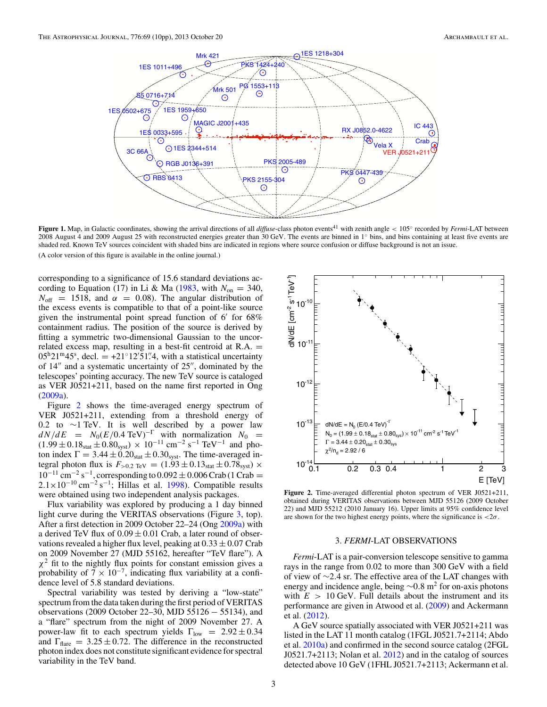<span id="page-3-0"></span>

**Figure 1.** Map, in Galactic coordinates, showing the arrival directions of all *diffuse*-class photon events<sup>41</sup> with zenith angle < 105° recorded by *Fermi*-LAT between 2008 August 4 and 2009 August 25 with reconstructed energies greater than 30 GeV. The events are binned in  $1^\circ$  bins, and bins containing at least five events are shaded red. Known TeV sources coincident with shaded bins are indicated in regions where source confusion or diffuse background is not an issue. (A color version of this figure is available in the online journal.)

corresponding to a significance of 15.6 standard deviations ac-cording to Equation (17) in Li & Ma [\(1983,](#page-10-0) with  $N_{on} = 340$ ,  $N_{\text{off}}$  = 1518, and  $\alpha$  = 0.08). The angular distribution of the excess events is compatible to that of a point-like source given the instrumental point spread function of  $6'$  for  $68\%$ containment radius. The position of the source is derived by fitting a symmetric two-dimensional Gaussian to the uncorrelated excess map, resulting in a best-fit centroid at  $R.A. =$  $0.5^{h}21^{m}45^{s}$ , decl. = +21<sup>o</sup>12<sup>'</sup>51''<sup>4</sup>, with a statistical uncertainty of  $14''$  and a systematic uncertainty of  $25''$ , dominated by the telescopes' pointing accuracy. The new TeV source is cataloged as VER J0521+211, based on the name first reported in Ong [\(2009a\)](#page-10-0).

Figure 2 shows the time-averaged energy spectrum of VER J0521+211, extending from a threshold energy of 0.2 to ∼1 TeV. It is well described by a power law  $dN/dE = N_0(E/0.4 \text{ TeV})^{-\Gamma}$  with normalization  $N_0 =$  $(1.99 \pm 0.18<sub>stat</sub> \pm 0.80<sub>syst</sub>) \times 10<sup>-11</sup> cm<sup>-2</sup> s<sup>-1</sup> TeV<sup>-1</sup>$  and photon index  $\Gamma = 3.44 \pm 0.20_{stat} \pm 0.30_{syst}$ . The time-averaged integral photon flux is  $F_{>0.2 \text{ TeV}} = (1.93 \pm 0.13_{\text{stat}} \pm 0.78_{\text{syst}}) \times$ <sup>10</sup>−<sup>11</sup> cm−<sup>2</sup> <sup>s</sup>−1, corresponding to 0*.*<sup>092</sup> <sup>±</sup> <sup>0</sup>*.*006 Crab (1 Crab <sup>=</sup>  $2.1 \times 10^{-10}$  cm<sup>-2</sup> s<sup>-1</sup>; Hillas et al. [1998\)](#page-10-0). Compatible results were obtained using two independent analysis packages.

Flux variability was explored by producing a 1 day binned light curve during the VERITAS observations (Figure [3,](#page-4-0) top). After a first detection in 2009 October 22–24 (Ong [2009a\)](#page-10-0) with a derived TeV flux of  $0.09 \pm 0.01$  Crab, a later round of observations revealed a higher flux level, peaking at  $0.33 \pm 0.07$  Crab on 2009 November 27 (MJD 55162, hereafter "TeV flare"). A  $\chi^2$  fit to the nightly flux points for constant emission gives a probability of  $7 \times 10^{-7}$ , indicating flux variability at a confidence level of 5.8 standard deviations.

Spectral variability was tested by deriving a "low-state" spectrum from the data taken during the first period of VERITAS observations (2009 October 22–30, MJD 55126 − 55134), and a "flare" spectrum from the night of 2009 November 27. A power-law fit to each spectrum yields  $\Gamma_{\text{low}} = 2.92 \pm 0.34$ and  $\Gamma_{\text{flare}} = 3.25 \pm 0.72$ . The difference in the reconstructed photon index does not constitute significant evidence for spectral variability in the TeV band.



**Figure 2.** Time-averaged differential photon spectrum of VER J0521+211, obtained during VERITAS observations between MJD 55126 (2009 October 22) and MJD 55212 (2010 January 16). Upper limits at 95% confidence level are shown for the two highest energy points, where the significance is *<*2*σ*.

#### 3. *FERMI*-LAT OBSERVATIONS

*Fermi*-LAT is a pair-conversion telescope sensitive to gamma rays in the range from 0.02 to more than 300 GeV with a field of view of ∼2*.*4 sr. The effective area of the LAT changes with energy and incidence angle, being ∼0.8 m<sup>2</sup> for on-axis photons with  $E > 10$  GeV. Full details about the instrument and its performance are given in Atwood et al. [\(2009\)](#page-10-0) and Ackermann et al. [\(2012\)](#page-10-0).

A GeV source spatially associated with VER J0521+211 was listed in the LAT 11 month catalog (1FGL J0521.7+2114; Abdo et al. [2010a\)](#page-9-0) and confirmed in the second source catalog (2FGL  $J0521.7+2113$ ; Nolan et al.  $2012$ ) and in the catalog of sources detected above 10 GeV (1FHL J0521.7+2113; Ackermann et al.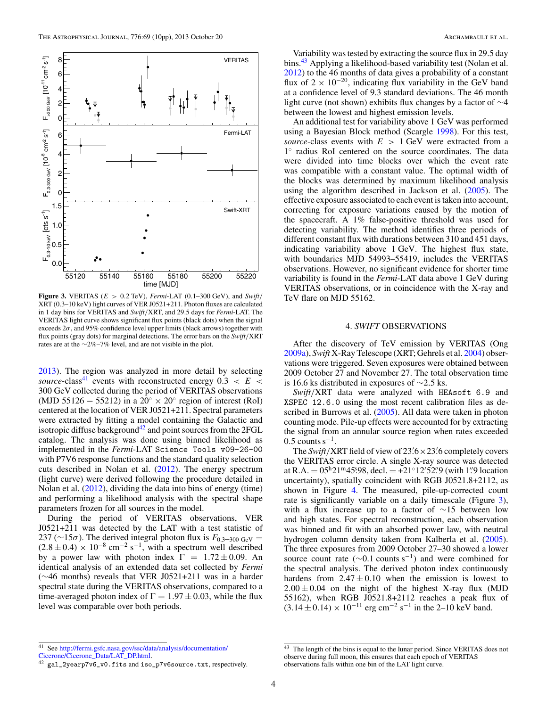<span id="page-4-0"></span>

**Figure 3.** VERITAS (*E >* 0*.*2 TeV), *Fermi*-LAT (0*.*1–300 GeV), and *Swift/* XRT (0.3–10 keV) light curves of VER J0521+211. Photon fluxes are calculated in 1 day bins for VERITAS and *Swift/*XRT, and 29.5 days for *Fermi*-LAT. The VERITAS light curve shows significant flux points (black dots) when the signal exceeds 2*σ*, and 95% confidence level upper limits (black arrows) together with flux points (gray dots) for marginal detections. The error bars on the *Swift/*XRT rates are at the ∼2%–7% level, and are not visible in the plot.

[2013\)](#page-10-0). The region was analyzed in more detail by selecting *source*-class<sup>41</sup> events with reconstructed energy  $0.3 < E <$ 300 GeV collected during the period of VERITAS observations (MJD 55126 – 55212) in a 20<sup>°</sup>  $\times$  20<sup>°</sup> region of interest (RoI) centered at the location of VER J0521+211. Spectral parameters were extracted by fitting a model containing the Galactic and isotropic diffuse background<sup>42</sup> and point sources from the  $2FGL$ catalog. The analysis was done using binned likelihood as implemented in the *Fermi*-LAT Science Tools v09-26-00 with P7V6 response functions and the standard quality selection cuts described in Nolan et al. [\(2012\)](#page-10-0). The energy spectrum (light curve) were derived following the procedure detailed in Nolan et al. [\(2012\)](#page-10-0), dividing the data into bins of energy (time) and performing a likelihood analysis with the spectral shape parameters frozen for all sources in the model.

During the period of VERITAS observations, VER J0521+211 was detected by the LAT with a test statistic of 237 ( $\sim$ 15 $\sigma$ ). The derived integral photon flux is  $F_{0.3-300 \text{ GeV}} =$  $(2.8 \pm 0.4) \times 10^{-8}$  cm<sup>-2</sup> s<sup>-1</sup>, with a spectrum well described by a power law with photon index  $\Gamma = 1.72 \pm 0.09$ . An identical analysis of an extended data set collected by *Fermi* (∼46 months) reveals that VER J0521+211 was in a harder spectral state during the VERITAS observations, compared to a time-averaged photon index of  $\Gamma = 1.97 \pm 0.03$ , while the flux level was comparable over both periods.

Variability was tested by extracting the source flux in 29.5 day bins.<sup>43</sup> Applying a likelihood-based variability test (Nolan et al. [2012\)](#page-10-0) to the 46 months of data gives a probability of a constant flux of  $2 \times 10^{-20}$ , indicating flux variability in the GeV band at a confidence level of 9.3 standard deviations. The 46 month light curve (not shown) exhibits flux changes by a factor of ∼4 between the lowest and highest emission levels.

An additional test for variability above 1 GeV was performed using a Bayesian Block method (Scargle [1998\)](#page-10-0). For this test, *source*-class events with *E >* 1 GeV were extracted from a 1◦ radius RoI centered on the source coordinates. The data were divided into time blocks over which the event rate was compatible with a constant value. The optimal width of the blocks was determined by maximum likelihood analysis using the algorithm described in Jackson et al. [\(2005\)](#page-10-0). The effective exposure associated to each event is taken into account, correcting for exposure variations caused by the motion of the spacecraft. A 1% false-positive threshold was used for detecting variability. The method identifies three periods of different constant flux with durations between 310 and 451 days, indicating variability above 1 GeV. The highest flux state, with boundaries MJD 54993–55419, includes the VERITAS observations. However, no significant evidence for shorter time variability is found in the *Fermi*-LAT data above 1 GeV during VERITAS observations, or in coincidence with the X-ray and TeV flare on MJD 55162.

#### 4. *SWIFT* OBSERVATIONS

After the discovery of TeV emission by VERITAS (Ong [2009a\)](#page-10-0), *Swift* X-Ray Telescope (XRT; Gehrels et al. [2004\)](#page-10-0) observations were triggered. Seven exposures were obtained between 2009 October 27 and November 27. The total observation time is 16.6 ks distributed in exposures of ∼2*.*5 ks.

*Swift/*XRT data were analyzed with HEAsoft 6.9 and XSPEC 12.6.0 using the most recent calibration files as described in Burrows et al. [\(2005\)](#page-10-0). All data were taken in photon counting mode. Pile-up effects were accounted for by extracting the signal from an annular source region when rates exceeded  $0.5$  counts s<sup>-1</sup>.

The *Swift*/XRT field of view of 23.6 × 23.6 completely covers the VERITAS error circle. A single X-ray source was detected at R.A. =  $0.5^{\text{h}}21^{\text{m}}45^{\text{s}}98$ , decl. =  $+21^{\circ}12'52''9$  (with 1<sup>*n*</sup> 9 location uncertainty), spatially coincident with RGB J0521.8+2112, as shown in Figure [4.](#page-5-0) The measured, pile-up-corrected count rate is significantly variable on a daily timescale (Figure 3), with a flux increase up to a factor of ∼15 between low and high states. For spectral reconstruction, each observation was binned and fit with an absorbed power law, with neutral hydrogen column density taken from Kalberla et al. [\(2005\)](#page-10-0). The three exposures from 2009 October 27–30 showed a lower source count rate ( $\sim$ 0.1 counts s<sup>-1</sup>) and were combined for the spectral analysis. The derived photon index continuously hardens from  $2.47 \pm 0.10$  when the emission is lowest to  $2.00 \pm 0.04$  on the night of the highest X-ray flux (MJD 55162), when RGB J0521.8+2112 reaches a peak flux of  $(3.14 \pm 0.14) \times 10^{-11}$  erg cm<sup>-2</sup> s<sup>-1</sup> in the 2–10 keV band.

[Cicerone/Cicerone\\_Data/LAT\\_DP.html.](http://fermi.gsfc.nasa.gov/ssc/data/analysis/documentation/Cicerone/Cicerone_Data/LAT_DP.html)

<sup>42</sup> gal\_2yearp7v6\_v0.fits and iso\_p7v6source.txt, respectively.

<sup>&</sup>lt;sup>43</sup> The length of the bins is equal to the lunar period. Since VERITAS does not observe during full moon, this ensures that each epoch of VERITAS observations falls within one bin of the LAT light curve.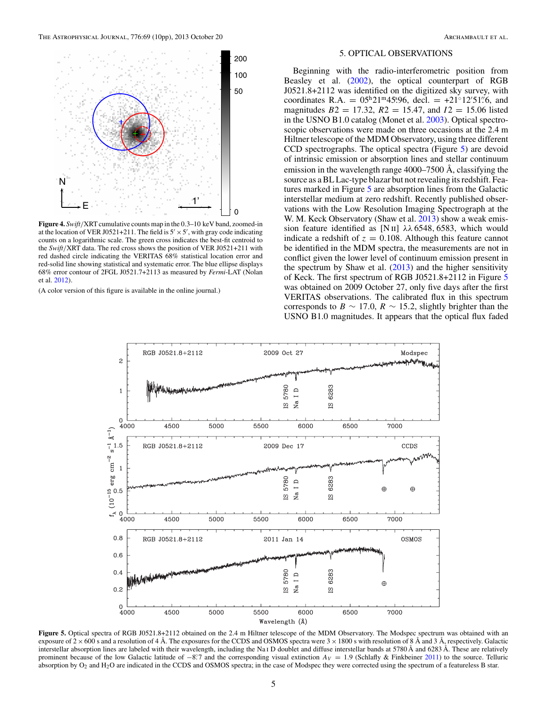<span id="page-5-0"></span>The Astrophysical Journal, 776:69 (10pp), 2013 October 20 Archambault et al.



**Figure 4.** *Swift/*XRT cumulative counts map in the 0*.*3–10 keV band, zoomed-in at the location of VER J0521+211. The field is  $5' \times 5'$ , with gray code indicating counts on a logarithmic scale. The green cross indicates the best-fit centroid to the *Swift/*XRT data. The red cross shows the position of VER J0521+211 with red dashed circle indicating the VERITAS 68% statistical location error and red-solid line showing statistical and systematic error. The blue ellipse displays 68% error contour of 2FGL J0521.7+2113 as measured by *Fermi*-LAT (Nolan et al. [2012\)](#page-10-0).

(A color version of this figure is available in the online journal.)

#### 5. OPTICAL OBSERVATIONS

Beginning with the radio-interferometric position from Beasley et al. [\(2002\)](#page-10-0), the optical counterpart of RGB J0521.8+2112 was identified on the digitized sky survey, with coordinates R.A. =  $0.5^{h}21^{m}45^{s}96$ , decl. =  $+21°12'51''6$ , and magnitudes *B*2 = 17*.*32, *R*2 = 15*.*47, and *I*2 = 15*.*06 listed in the USNO B1.0 catalog (Monet et al. [2003\)](#page-10-0). Optical spectroscopic observations were made on three occasions at the 2.4 m Hiltner telescope of the MDM Observatory, using three different CCD spectrographs. The optical spectra (Figure 5) are devoid of intrinsic emission or absorption lines and stellar continuum emission in the wavelength range 4000–7500 Å, classifying the source as a BL Lac-type blazar but not revealing its redshift. Features marked in Figure 5 are absorption lines from the Galactic interstellar medium at zero redshift. Recently published observations with the Low Resolution Imaging Spectrograph at the W. M. Keck Observatory (Shaw et al. [2013\)](#page-10-0) show a weak emission feature identified as [N ii] *λλ* 6548*,* 6583, which would indicate a redshift of  $z = 0.108$ . Although this feature cannot be identified in the MDM spectra, the measurements are not in conflict given the lower level of continuum emission present in the spectrum by Shaw et al.  $(2013)$  and the higher sensitivity of Keck. The first spectrum of RGB J0521.8+2112 in Figure 5 was obtained on 2009 October 27, only five days after the first VERITAS observations. The calibrated flux in this spectrum corresponds to *B*  $\sim$  17.0, *R*  $\sim$  15.2, slightly brighter than the USNO B1.0 magnitudes. It appears that the optical flux faded



Figure 5. Optical spectra of RGB J0521.8+2112 obtained on the 2.4 m Hiltner telescope of the MDM Observatory. The Modspec spectrum was obtained with an exposure of  $2 \times 600$  s and a resolution of 4 Å. The exposures for the CCDS and OSMOS spectra were  $3 \times 1800$  s with resolution of 8 Å and 3 Å, respectively. Galactic interstellar absorption lines are labeled with their wavelength, including the Na i D doublet and diffuse interstellar bands at 5780 Å and 6283 Å. These are relatively prominent because of the low Galactic latitude of  $-8.7$  and the corresponding visual extinction  $A_V = 1.9$  (Schlafly & Finkbeiner [2011\)](#page-10-0) to the source. Telluric absorption by O<sub>2</sub> and H<sub>2</sub>O are indicated in the CCDS and OSMOS spectra; in the case of Modspec they were corrected using the spectrum of a featureless B star.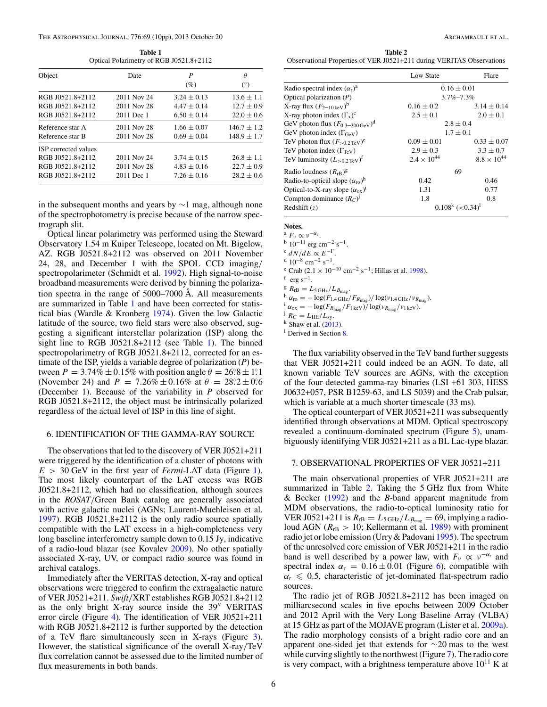<span id="page-6-0"></span>The Astrophysical Journal, 776:69 (10pp), 2013 October 20 Archambault et al.

**Table 1** Optical Polarimetry of RGB J0521.8+2112

| Object                      | Date        | P               | $\theta$        |
|-----------------------------|-------------|-----------------|-----------------|
|                             |             | $(\%)$          | (°)             |
| RGB J0521.8+2112            | 2011 Nov 24 | $3.24 \pm 0.13$ | $13.6 \pm 1.1$  |
| RGB J0521.8+2112            | 2011 Nov 28 | $4.47 \pm 0.14$ | $12.7 \pm 0.9$  |
| RGB J0521.8+2112            | 2011 Dec 1  | $6.50 \pm 0.14$ | $22.0 \pm 0.6$  |
| Reference star A            | 2011 Nov 28 | $1.66 \pm 0.07$ | $146.7 \pm 1.2$ |
| Reference star B            | 2011 Nov 28 | $0.69 \pm 0.04$ | $148.9 \pm 1.7$ |
| <b>ISP</b> corrected values |             |                 |                 |
| RGB J0521.8+2112            | 2011 Nov 24 | $3.74 \pm 0.15$ | $26.8 + 1.1$    |
| RGB J0521.8+2112            | 2011 Nov 28 | $4.83 \pm 0.16$ | $22.7 \pm 0.9$  |
| RGB J0521.8+2112            | 2011 Dec 1  | $7.26 \pm 0.16$ | $28.2 \pm 0.6$  |

in the subsequent months and years by ∼1 mag, although none of the spectrophotometry is precise because of the narrow spectrograph slit.

Optical linear polarimetry was performed using the Steward Observatory 1.54 m Kuiper Telescope, located on Mt. Bigelow, AZ. RGB J0521.8+2112 was observed on 2011 November 24, 28, and December 1 with the SPOL CCD imaging*/* spectropolarimeter (Schmidt et al. [1992\)](#page-10-0). High signal-to-noise broadband measurements were derived by binning the polarization spectra in the range of 5000–7000 Å. All measurements are summarized in Table 1 and have been corrected for statistical bias (Wardle & Kronberg [1974\)](#page-10-0). Given the low Galactic latitude of the source, two field stars were also observed, suggesting a significant interstellar polarization (ISP) along the sight line to RGB J0521.8+2112 (see Table 1). The binned spectropolarimetry of RGB J0521.8+2112, corrected for an estimate of the ISP, yields a variable degree of polarization (*P*) between  $P = 3.74\% \pm 0.15\%$  with position angle  $\theta = 26.8 \pm 1.1$ (November 24) and  $P = 7.26\% \pm 0.16\%$  at  $\theta = 28.2 \pm 0.6$ (December 1). Because of the variability in *P* observed for RGB J0521.8+2112, the object must be intrinsically polarized regardless of the actual level of ISP in this line of sight.

#### 6. IDENTIFICATION OF THE GAMMA-RAY SOURCE

The observations that led to the discovery of VER J0521+211 were triggered by the identification of a cluster of photons with *E >* 30 GeV in the first year of *Fermi*-LAT data (Figure [1\)](#page-3-0). The most likely counterpart of the LAT excess was RGB J0521.8+2112, which had no classification, although sources in the *ROSAT/*Green Bank catalog are generally associated with active galactic nuclei (AGNs; Laurent-Muehleisen et al. [1997\)](#page-10-0). RGB J0521.8+2112 is the only radio source spatially compatible with the LAT excess in a high-completeness very long baseline interferometry sample down to 0.15 Jy, indicative of a radio-loud blazar (see Kovalev [2009\)](#page-10-0). No other spatially associated X-ray, UV, or compact radio source was found in archival catalogs.

Immediately after the VERITAS detection, X-ray and optical observations were triggered to confirm the extragalactic nature of VER J0521+211. *Swift/*XRT establishes RGB J0521.8+2112 as the only bright X-ray source inside the 39" VERITAS error circle (Figure [4\)](#page-5-0). The identification of VER J0521+211 with RGB J0521.8+2112 is further supported by the detection of a TeV flare simultaneously seen in X-rays (Figure [3\)](#page-4-0). However, the statistical significance of the overall X-ray*/*TeV flux correlation cannot be assessed due to the limited number of flux measurements in both bands.

**Table 2** Observational Properties of VER J0521+211 during VERITAS Observations

|                                                    | Low State                     | Flare                |
|----------------------------------------------------|-------------------------------|----------------------|
| Radio spectral index $(\alpha_r)^a$                | $0.16 \pm 0.01$               |                      |
| Optical polarization $(P)$                         | $3.7\% - 7.3\%$               |                      |
| X-ray flux $(F_{2-10 \text{ keV}})^b$              | $0.16 \pm 0.2$                | $3.14 \pm 0.14$      |
| X-ray photon index $(\Gamma_x)^c$                  | $2.5 \pm 0.1$                 | $2.0 \pm 0.1$        |
| GeV photon flux $(F_{0.3-300 \text{ GeV}})^d$      | $2.8 \pm 0.4$                 |                      |
| GeV photon index $(\Gamma_{\text{GeV}})$           | $1.7 \pm 0.1$                 |                      |
| TeV photon flux $(F_{>0.2 \text{ TeV}})^e$         | $0.09 \pm 0.01$               | $0.33 \pm 0.07$      |
| TeV photon index $(\Gamma_{\text{TeV}})$           | $2.9 \pm 0.3$                 | $3.3 \pm 0.7$        |
| TeV luminosity $(L_{>0.2 \text{ TeV}})^f$          | $2.4 \times 10^{44}$          | $8.8 \times 10^{44}$ |
| Radio loudness $(R_{rR})^g$                        | 69                            |                      |
| Radio-to-optical slope $(\alpha_{\rm ro})^{\rm h}$ | 0.42                          | 0.46                 |
| Optical-to-X-ray slope $(\alpha_{ox})^i$           | 1.31                          | 0.77                 |
| Compton dominance $(R_C)^j$                        | 1.8                           | 0.8                  |
| Redshift $(z)$                                     | $0.108k$ (<0.34) <sup>1</sup> |                      |

**Notes.**<br>a  $F_v \propto v^{-\alpha_r}$ .

 $^{b}$  10<sup>−11</sup> erg cm<sup>−2</sup> s<sup>−1</sup>.<br><sup>c</sup>  $dN/dE \propto E^{-\Gamma}$ .

d  $10^{-8}$  cm<sup>-2</sup> s<sup>-1</sup>.

- e Crab (2.1 × 10<sup>-10</sup> cm<sup>-2</sup> s<sup>-1</sup>; Hillas et al. [1998\)](#page-10-0).<br><sup>f</sup> erg s<sup>-1</sup>.<br><sup>g</sup>  $R_{\text{rB}} = L_{\text{5 GHz}}/L_{B_{\text{mag}}}$ .
- 
- 

h  $\alpha_{\text{TO}} = -\log(F_{1.4 \text{ GHz}}/F_{R_{\text{mag}}})/\log(\nu_{1.4 \text{ GHz}}/\nu_{R_{\text{mag}}}).$ i  $\alpha_{\text{OX}} = -\log(F_{R_{\text{mag}}}/F_{1 \text{ keV}})/\log(\nu_{R_{\text{mag}}}/\nu_{1 \text{ keV}}).$ i  $R_C = L_{\text{HE}}/L_{\text{sv}}.$ 

<sup>k</sup> Shaw et al. [\(2013\)](#page-10-0).

<sup>1</sup> Derived in Section [8.](#page-8-0)

The flux variability observed in the TeV band further suggests that VER J0521+211 could indeed be an AGN. To date, all known variable TeV sources are AGNs, with the exception of the four detected gamma-ray binaries (LSI +61 303, HESS J0632+057, PSR B1259-63, and LS 5039) and the Crab pulsar, which is variable at a much shorter timescale  $(33 \text{ ms})$ .

The optical counterpart of VER J0521+211 was subsequently identified through observations at MDM. Optical spectroscopy revealed a continuum-dominated spectrum (Figure [5\)](#page-5-0), unambiguously identifying VER J0521+211 as a BL Lac-type blazar.

#### 7. OBSERVATIONAL PROPERTIES OF VER J0521+211

The main observational properties of VER J0521+211 are summarized in Table 2. Taking the 5 GHz flux from White & Becker [\(1992\)](#page-10-0) and the *B*-band apparent magnitude from MDM observations, the radio-to-optical luminosity ratio for VER J0521+211 is  $R_{\text{rB}} = L_{5 \text{ GHz}}/L_{B_{\text{mag}}} = 69$ , implying a radioloud AGN ( $R_{rB} > 10$ ; Kellermann et al. [1989\)](#page-10-0) with prominent radio jet or lobe emission (Urry & Padovani [1995\)](#page-10-0). The spectrum of the unresolved core emission of VER J0521+211 in the radio band is well described by a power law, with  $F_v \propto v^{-\alpha_r}$  and spectral index  $\alpha_r = 0.16 \pm 0.01$  (Figure [6\)](#page-7-0), compatible with  $\alpha_{\rm r} \leqslant 0.5$ , characteristic of jet-dominated flat-spectrum radio sources.

The radio jet of RGB J0521.8+2112 has been imaged on milliarcsecond scales in five epochs between 2009 October and 2012 April with the Very Long Baseline Array (VLBA) at 15 GHz as part of the MOJAVE program (Lister et al. [2009a\)](#page-10-0). The radio morphology consists of a bright radio core and an apparent one-sided jet that extends for ∼20 mas to the west while curving slightly to the northwest (Figure [7\)](#page-7-0). The radio core is very compact, with a brightness temperature above  $10^{11}$  K at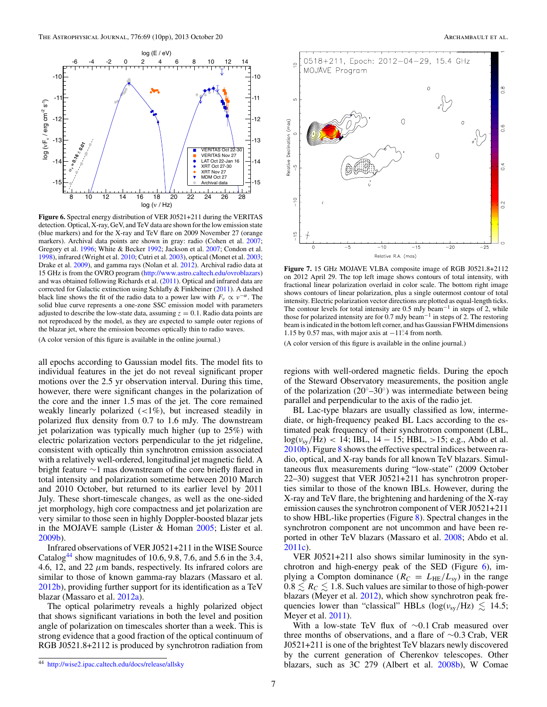<span id="page-7-0"></span>

**Figure 6.** Spectral energy distribution of VER J0521+211 during the VERITAS detection. Optical, X-ray, GeV, and TeV data are shown for the low emission state (blue markers) and for the X-ray and TeV flare on 2009 November 27 (orange markers). Archival data points are shown in gray: radio (Cohen et al. [2007;](#page-10-0) Gregory et al. [1996;](#page-10-0) White & Becker [1992;](#page-10-0) Jackson et al. [2007;](#page-10-0) Condon et al. [1998\)](#page-10-0), infrared (Wright et al. [2010;](#page-10-0) Cutri et al. [2003\)](#page-10-0), optical (Monet et al. [2003;](#page-10-0) Drake et al. [2009\)](#page-10-0), and gamma rays (Nolan et al. [2012\)](#page-10-0). Archival radio data at 15 GHz is from the OVRO program [\(http://www.astro.caltech.edu/ovroblazars\)](http://www.astro.caltech.edu/ovroblazars) and was obtained following Richards et al. [\(2011\)](#page-10-0). Optical and infrared data are corrected for Galactic extinction using Schlafly & Finkbeiner [\(2011\)](#page-10-0). A dashed black line shows the fit of the radio data to a power law with  $F_v \propto v^{-\alpha}$ . The solid blue curve represents a one-zone SSC emission model with parameters adjusted to describe the low-state data, assuming  $z = 0.1$ . Radio data points are not reproduced by the model, as they are expected to sample outer regions of the blazar jet, where the emission becomes optically thin to radio waves.

(A color version of this figure is available in the online journal.)

all epochs according to Gaussian model fits. The model fits to individual features in the jet do not reveal significant proper motions over the 2.5 yr observation interval. During this time, however, there were significant changes in the polarization of the core and the inner 1*.*5 mas of the jet. The core remained weakly linearly polarized (*<*1%), but increased steadily in polarized flux density from 0.7 to 1.6 mJy. The downstream jet polarization was typically much higher (up to 25%) with electric polarization vectors perpendicular to the jet ridgeline, consistent with optically thin synchrotron emission associated with a relatively well-ordered, longitudinal jet magnetic field. A bright feature ∼1 mas downstream of the core briefly flared in total intensity and polarization sometime between 2010 March and 2010 October, but returned to its earlier level by 2011 July. These short-timescale changes, as well as the one-sided jet morphology, high core compactness and jet polarization are very similar to those seen in highly Doppler-boosted blazar jets in the MOJAVE sample (Lister & Homan [2005;](#page-10-0) Lister et al. [2009b\)](#page-10-0).

Infrared observations of VER J0521+211 in the WISE Source Catalog<sup>44</sup> show magnitudes of 10.6, 9.8, 7.6, and 5.6 in the 3.4, 4.6, 12, and 22  $\mu$ m bands, respectively. Its infrared colors are similar to those of known gamma-ray blazars (Massaro et al. [2012b\)](#page-10-0), providing further support for its identification as a TeV blazar (Massaro et al. [2012a\)](#page-10-0).

The optical polarimetry reveals a highly polarized object that shows significant variations in both the level and position angle of polarization on timescales shorter than a week. This is strong evidence that a good fraction of the optical continuum of RGB J0521.8+2112 is produced by synchrotron radiation from





**Figure 7.** 15 GHz MOJAVE VLBA composite image of RGB J0521.8+2112 on 2012 April 29. The top left image shows contours of total intensity, with fractional linear polarization overlaid in color scale. The bottom right image shows contours of linear polarization, plus a single outermost contour of total intensity. Electric polarization vector directions are plotted as equal-length ticks. The contour levels for total intensity are 0.5 mJy beam<sup>-1</sup> in steps of 2, while those for polarized intensity are for 0.7 mJy beam<sup>-1</sup> in steps of 2. The restoring beam is indicated in the bottom left corner, and has Gaussian FWHM dimensions 1.15 by 0.57 mas, with major axis at −11*.* ◦4 from north.

(A color version of this figure is available in the online journal.)

regions with well-ordered magnetic fields. During the epoch of the Steward Observatory measurements, the position angle of the polarization (20 $^{\circ}$ –30 $^{\circ}$ ) was intermediate between being parallel and perpendicular to the axis of the radio jet.

BL Lac-type blazars are usually classified as low, intermediate, or high-frequency peaked BL Lacs according to the estimated peak frequency of their synchrotron component (LBL, log(*ν*sy*/*Hz) *<* 14; IBL, 14 − 15; HBL, *>*15; e.g., Abdo et al. [2010b\)](#page-10-0). Figure [8](#page-8-0) shows the effective spectral indices between radio, optical, and X-ray bands for all known TeV blazars. Simultaneous flux measurements during "low-state" (2009 October 22–30) suggest that VER J0521+211 has synchrotron properties similar to those of the known IBLs. However, during the X-ray and TeV flare, the brightening and hardening of the X-ray emission causes the synchrotron component of VER J0521+211 to show HBL-like properties (Figure [8\)](#page-8-0). Spectral changes in the synchrotron component are not uncommon and have been reported in other TeV blazars (Massaro et al. [2008;](#page-10-0) Abdo et al. [2011c\)](#page-10-0).

VER J0521+211 also shows similar luminosity in the synchrotron and high-energy peak of the SED (Figure  $6$ ), implying a Compton dominance ( $R_C = L_{\text{HE}}/L_{\text{sv}}$ ) in the range  $0.8 \lesssim R_c \lesssim 1.8$ . Such values are similar to those of high-power blazars (Meyer et al. [2012\)](#page-10-0), which show synchrotron peak frequencies lower than "classical" HBLs ( $log(v_{sy}/Hz) \le 14.5$ ; Meyer et al. [2011\)](#page-10-0).

With a low-state TeV flux of ∼0*.*1 Crab measured over three months of observations, and a flare of ∼0*.*3 Crab, VER J0521+211 is one of the brightest TeV blazars newly discovered by the current generation of Cherenkov telescopes. Other blazars, such as 3C 279 (Albert et al. [2008b\)](#page-10-0), W Comae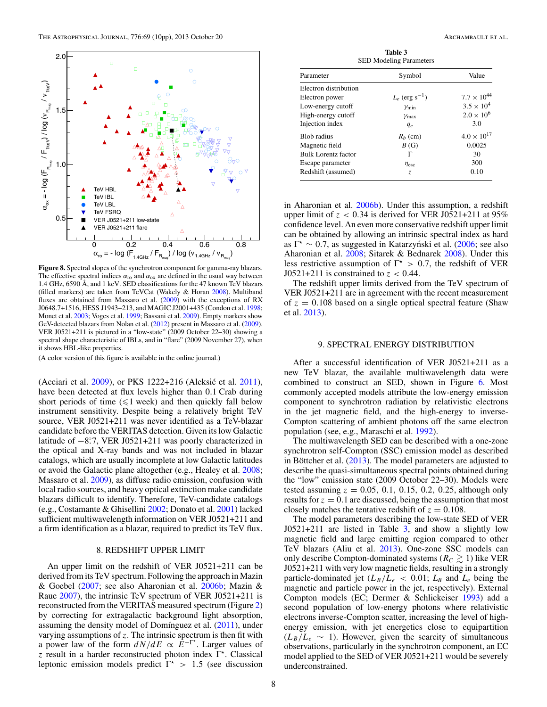<span id="page-8-0"></span>

**Figure 8.** Spectral slopes of the synchrotron component for gamma-ray blazars. The effective spectral indices  $\alpha_{\rm ro}$  and  $\alpha_{\rm ox}$  are defined in the usual way between 1.4 GHz, 6590 Å, and 1 keV. SED classifications for the 47 known TeV blazars (filled markers) are taken from TeVCat (Wakely & Horan [2008\)](#page-10-0). Multiband fluxes are obtained from Massaro et al. [\(2009\)](#page-10-0) with the exceptions of RX J0648.7+1516, HESS J1943+213, and MAGIC J2001+435 (Condon et al. [1998;](#page-10-0) Monet et al. [2003;](#page-10-0) Voges et al. [1999;](#page-10-0) Bassani et al. [2009\)](#page-10-0). Empty markers show GeV-detected blazars from Nolan et al. [\(2012\)](#page-10-0) present in Massaro et al. [\(2009\)](#page-10-0). VER J0521+211 is pictured in a "low-state" (2009 October 22–30) showing a spectral shape characteristic of IBLs, and in "flare" (2009 November 27), when it shows HBL-like properties.

(A color version of this figure is available in the online journal.)

(Acciari et al. [2009\)](#page-10-0), or PKS 1222+216 (Aleksić et al. [2011\)](#page-10-0), have been detected at flux levels higher than 0*.*1 Crab during short periods of time  $(\leq 1$  week) and then quickly fall below instrument sensitivity. Despite being a relatively bright TeV source, VER J0521+211 was never identified as a TeV-blazar candidate before the VERITAS detection. Given its low Galactic latitude of −8*.* ◦7, VER J0521+211 was poorly characterized in the optical and X-ray bands and was not included in blazar catalogs, which are usually incomplete at low Galactic latitudes or avoid the Galactic plane altogether (e.g., Healey et al. [2008;](#page-10-0) Massaro et al. [2009\)](#page-10-0), as diffuse radio emission, confusion with local radio sources, and heavy optical extinction make candidate blazars difficult to identify. Therefore, TeV-candidate catalogs (e.g., Costamante & Ghisellini [2002;](#page-10-0) Donato et al. [2001\)](#page-10-0) lacked sufficient multiwavelength information on VER J0521+211 and a firm identification as a blazar, required to predict its TeV flux.

#### 8. REDSHIFT UPPER LIMIT

An upper limit on the redshift of VER J0521+211 can be derived from its TeV spectrum. Following the approach in Mazin & Goebel [\(2007;](#page-10-0) see also Aharonian et al. [2006b;](#page-10-0) Mazin & Raue [2007\)](#page-10-0), the intrinsic TeV spectrum of VER J0521+211 is reconstructed from the VERITAS measured spectrum (Figure [2\)](#page-3-0) by correcting for extragalactic background light absorption, assuming the density model of Domínguez et al. [\(2011\)](#page-10-0), under varying assumptions of *z*. The intrinsic spectrum is then fit with a power law of the form  $dN/dE \propto E^{-\Gamma^*}$ . Larger values of *z* result in a harder reconstructed photon index Γ. Classical leptonic emission models predict  $\Gamma^* > 1.5$  (see discussion

**Table 3** SED Modeling Parameters

| Parameter                  | Symbol                       | Value                |
|----------------------------|------------------------------|----------------------|
| Electron distribution      |                              |                      |
| Electron power             | $L_e$ (erg s <sup>-1</sup> ) | $7.7 \times 10^{44}$ |
| Low-energy cutoff          | $\gamma_{\min}$              | $3.5 \times 10^{4}$  |
| High-energy cutoff         | $\gamma$ max                 | $2.0 \times 10^{6}$  |
| Injection index            | $q_e$                        | 3.0                  |
| <b>Blob</b> radius         | $R_h$ (cm)                   | $4.0 \times 10^{17}$ |
| Magnetic field             | B(G)                         | 0.0025               |
| <b>Bulk Lorentz factor</b> |                              | 30                   |
| Escape parameter           | $\eta_{\rm esc}$             | 300                  |
| Redshift (assumed)         | Z.                           | 0.10                 |

in Aharonian et al. [2006b\)](#page-10-0). Under this assumption, a redshift upper limit of  $z < 0.34$  is derived for VER J0521+211 at 95% confidence level. An even more conservative redshift upper limit can be obtained by allowing an intrinsic spectral index as hard as  $\Gamma^* \sim 0.7$ , as suggested in Katarzyński et al. ([2006;](#page-10-0) see also Aharonian et al. [2008;](#page-10-0) Sitarek & Bednarek [2008\)](#page-10-0). Under this less restrictive assumption of  $\Gamma^* > 0.7$ , the redshift of VER J0521+211 is constrained to  $z < 0.44$ .

The redshift upper limits derived from the TeV spectrum of VER J0521+211 are in agreement with the recent measurement of  $z = 0.108$  based on a single optical spectral feature (Shaw et al. [2013\)](#page-10-0).

#### 9. SPECTRAL ENERGY DISTRIBUTION

After a successful identification of VER J0521+211 as a new TeV blazar, the available multiwavelength data were combined to construct an SED, shown in Figure [6.](#page-7-0) Most commonly accepted models attribute the low-energy emission component to synchrotron radiation by relativistic electrons in the jet magnetic field, and the high-energy to inverse-Compton scattering of ambient photons off the same electron population (see, e.g., Maraschi et al. [1992\)](#page-10-0).

The multiwavelength SED can be described with a one-zone synchrotron self-Compton (SSC) emission model as described in Böttcher et al.  $(2013)$  $(2013)$ . The model parameters are adjusted to describe the quasi-simultaneous spectral points obtained during the "low" emission state (2009 October 22–30). Models were tested assuming  $z = 0.05, 0.1, 0.15, 0.2, 0.25$ , although only results for  $z = 0.1$  are discussed, being the assumption that most closely matches the tentative redshift of  $z = 0.108$ .

The model parameters describing the low-state SED of VER J0521+211 are listed in Table 3, and show a slightly low magnetic field and large emitting region compared to other TeV blazars (Aliu et al. [2013\)](#page-10-0). One-zone SSC models can only describe Compton-dominated systems ( $R_C \geq 1$ ) like VER J0521+211 with very low magnetic fields, resulting in a strongly particle-dominated jet  $(L_B/L_e < 0.01; L_B$  and  $L_e$  being the magnetic and particle power in the jet, respectively). External Compton models (EC; Dermer & Schlickeiser [1993\)](#page-10-0) add a second population of low-energy photons where relativistic electrons inverse-Compton scatter, increasing the level of highenergy emission, with jet energetics close to equipartition  $(L_B/L_e \sim 1)$ . However, given the scarcity of simultaneous observations, particularly in the synchrotron component, an EC model applied to the SED of VER J0521+211 would be severely underconstrained.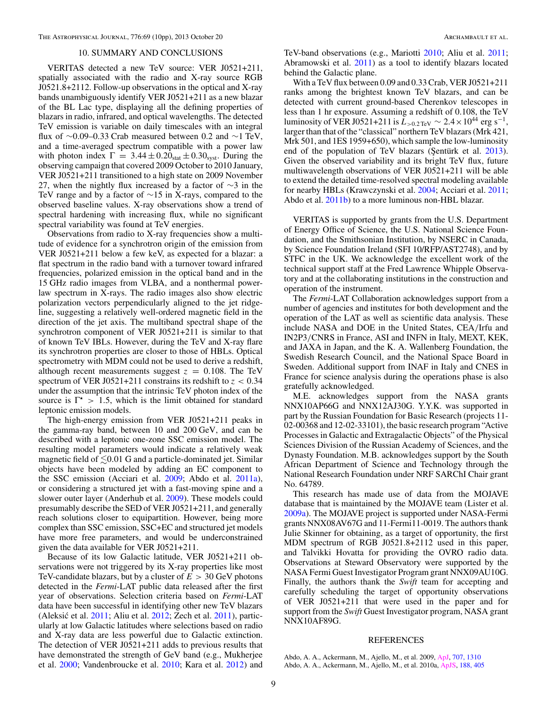#### 10. SUMMARY AND CONCLUSIONS

<span id="page-9-0"></span>VERITAS detected a new TeV source: VER J0521+211, spatially associated with the radio and X-ray source RGB J0521.8+2112. Follow-up observations in the optical and X-ray bands unambiguously identify VER J0521+211 as a new blazar of the BL Lac type, displaying all the defining properties of blazars in radio, infrared, and optical wavelengths. The detected TeV emission is variable on daily timescales with an integral flux of ∼0*.*09–0*.*33 Crab measured between 0.2 and ∼1 TeV, and a time-averaged spectrum compatible with a power law with photon index  $\Gamma = 3.44 \pm 0.20_{stat} \pm 0.30_{syst}$ . During the observing campaign that covered 2009 October to 2010 January, VER J0521+211 transitioned to a high state on 2009 November 27, when the nightly flux increased by a factor of  $\sim$ 3 in the TeV range and by a factor of ∼15 in X-rays, compared to the observed baseline values. X-ray observations show a trend of spectral hardening with increasing flux, while no significant spectral variability was found at TeV energies.

Observations from radio to X-ray frequencies show a multitude of evidence for a synchrotron origin of the emission from VER J0521+211 below a few keV, as expected for a blazar: a flat spectrum in the radio band with a turnover toward infrared frequencies, polarized emission in the optical band and in the 15 GHz radio images from VLBA, and a nonthermal powerlaw spectrum in X-rays. The radio images also show electric polarization vectors perpendicularly aligned to the jet ridgeline, suggesting a relatively well-ordered magnetic field in the direction of the jet axis. The multiband spectral shape of the synchrotron component of VER J0521+211 is similar to that of known TeV IBLs. However, during the TeV and X-ray flare its synchrotron properties are closer to those of HBLs. Optical spectrometry with MDM could not be used to derive a redshift, although recent measurements suggest  $z = 0.108$ . The TeV spectrum of VER J0521+211 constrains its redshift to *z <* 0*.*34 under the assumption that the intrinsic TeV photon index of the source is  $\Gamma^* > 1.5$ , which is the limit obtained for standard leptonic emission models.

The high-energy emission from VER J0521+211 peaks in the gamma-ray band, between 10 and 200 GeV, and can be described with a leptonic one-zone SSC emission model. The resulting model parameters would indicate a relatively weak magnetic field of  $\leq 0.01$  G and a particle-dominated jet. Similar objects have been modeled by adding an EC component to the SSC emission (Acciari et al. [2009;](#page-10-0) Abdo et al. [2011a\)](#page-10-0), or considering a structured jet with a fast-moving spine and a slower outer layer (Anderhub et al. [2009\)](#page-10-0). These models could presumably describe the SED of VER J0521+211, and generally reach solutions closer to equipartition. However, being more complex than SSC emission, SSC+EC and structured jet models have more free parameters, and would be underconstrained given the data available for VER J0521+211.

Because of its low Galactic latitude, VER J0521+211 observations were not triggered by its X-ray properties like most TeV-candidate blazars, but by a cluster of *E >* 30 GeV photons detected in the *Fermi*-LAT public data released after the first year of observations. Selection criteria based on *Fermi*-LAT data have been successful in identifying other new TeV blazars (Aleksić et al. [2011;](#page-10-0) Aliu et al. [2012;](#page-10-0) Zech et al. [2011\)](#page-10-0), particularly at low Galactic latitudes where selections based on radio and X-ray data are less powerful due to Galactic extinction. The detection of VER J0521+211 adds to previous results that have demonstrated the strength of GeV band (e.g., Mukherjee et al. [2000;](#page-10-0) Vandenbroucke et al. [2010;](#page-10-0) Kara et al. [2012\)](#page-10-0) and

TeV-band observations (e.g., Mariotti [2010;](#page-10-0) Aliu et al. [2011;](#page-10-0) Abramowski et al. [2011\)](#page-10-0) as a tool to identify blazars located behind the Galactic plane.

With a TeV flux between 0.09 and 0.33 Crab, VER J0521+211 ranks among the brightest known TeV blazars, and can be detected with current ground-based Cherenkov telescopes in less than 1 hr exposure. Assuming a redshift of 0.108, the TeV luminosity of VER J0521+211 is  $L_{>0.2 \text{TeV}} \sim 2.4 \times 10^{44} \text{ erg s}^{-1}$ , larger than that of the "classical" northern TeV blazars (Mrk 421, Mrk 501, and 1ES 1959+650), which sample the low-luminosity end of the population of TeV blazars (Şentürk et al. [2013\)](#page-10-0). Given the observed variability and its bright TeV flux, future multiwavelength observations of VER J0521+211 will be able to extend the detailed time-resolved spectral modeling available for nearby HBLs (Krawczynski et al. [2004;](#page-10-0) Acciari et al. [2011;](#page-10-0) Abdo et al. [2011b\)](#page-10-0) to a more luminous non-HBL blazar.

VERITAS is supported by grants from the U.S. Department of Energy Office of Science, the U.S. National Science Foundation, and the Smithsonian Institution, by NSERC in Canada, by Science Foundation Ireland (SFI 10/RFP/AST2748), and by STFC in the UK. We acknowledge the excellent work of the technical support staff at the Fred Lawrence Whipple Observatory and at the collaborating institutions in the construction and operation of the instrument.

The *Fermi*-LAT Collaboration acknowledges support from a number of agencies and institutes for both development and the operation of the LAT as well as scientific data analysis. These include NASA and DOE in the United States, CEA*/*Irfu and IN2P3*/*CNRS in France, ASI and INFN in Italy, MEXT, KEK, and JAXA in Japan, and the K. A. Wallenberg Foundation, the Swedish Research Council, and the National Space Board in Sweden. Additional support from INAF in Italy and CNES in France for science analysis during the operations phase is also gratefully acknowledged.

M.E. acknowledges support from the NASA grants NNX10AP66G and NNX12AJ30G. Y.Y.K. was supported in part by the Russian Foundation for Basic Research (projects 11- 02-00368 and 12-02-33101), the basic research program "Active Processes in Galactic and Extragalactic Objects" of the Physical Sciences Division of the Russian Academy of Sciences, and the Dynasty Foundation. M.B. acknowledges support by the South African Department of Science and Technology through the National Research Foundation under NRF SARChI Chair grant No. 64789.

This research has made use of data from the MOJAVE database that is maintained by the MOJAVE team (Lister et al. [2009a\)](#page-10-0). The MOJAVE project is supported under NASA-Fermi grants NNX08AV67G and 11-Fermi11-0019. The authors thank Julie Skinner for obtaining, as a target of opportunity, the first MDM spectrum of RGB J0521.8+2112 used in this paper, and Talvikki Hovatta for providing the OVRO radio data. Observations at Steward Observatory were supported by the NASA Fermi Guest Investigator Program grant NNX09AU10G. Finally, the authors thank the *Swift* team for accepting and carefully scheduling the target of opportunity observations of VER J0521+211 that were used in the paper and for support from the *Swift* Guest Investigator program, NASA grant NNX10AF89G.

#### REFERENCES

Abdo, A. A., Ackermann, M., Ajello, M., et al. 2009, [ApJ,](http://dx.doi.org/10.1088/0004-637X/707/2/1310) [707, 1310](http://adsabs.harvard.edu/abs/2009ApJ...707.1310A) Abdo, A. A., Ackermann, M., Ajello, M., et al. 2010a, [ApJS,](http://dx.doi.org/10.1088/0067-0049/188/2/405) [188, 405](http://adsabs.harvard.edu/abs/2010ApJS..188..405A)